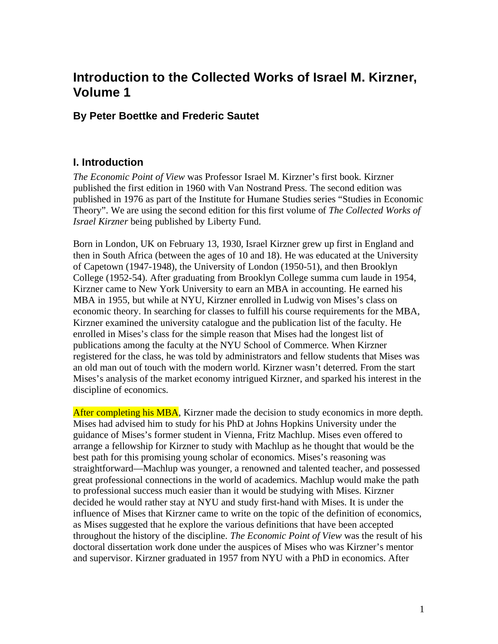# **Introduction to the Collected Works of Israel M. Kirzner, Volume 1**

# **By Peter Boettke and Frederic Sautet**

## **I. Introduction**

*The Economic Point of View* was Professor Israel M. Kirzner's first book. Kirzner published the first edition in 1960 with Van Nostrand Press. The second edition was published in 1976 as part of the Institute for Humane Studies series "Studies in Economic Theory". We are using the second edition for this first volume of *The Collected Works of Israel Kirzner* being published by Liberty Fund.

Born in London, UK on February 13, 1930, Israel Kirzner grew up first in England and then in South Africa (between the ages of 10 and 18). He was educated at the University of Capetown (1947-1948), the University of London (1950-51), and then Brooklyn College (1952-54). After graduating from Brooklyn College summa cum laude in 1954, Kirzner came to New York University to earn an MBA in accounting. He earned his MBA in 1955, but while at NYU, Kirzner enrolled in Ludwig von Mises's class on economic theory. In searching for classes to fulfill his course requirements for the MBA, Kirzner examined the university catalogue and the publication list of the faculty. He enrolled in Mises's class for the simple reason that Mises had the longest list of publications among the faculty at the NYU School of Commerce. When Kirzner registered for the class, he was told by administrators and fellow students that Mises was an old man out of touch with the modern world. Kirzner wasn't deterred. From the start Mises's analysis of the market economy intrigued Kirzner, and sparked his interest in the discipline of economics.

After completing his MBA, Kirzner made the decision to study economics in more depth. Mises had advised him to study for his PhD at Johns Hopkins University under the guidance of Mises's former student in Vienna, Fritz Machlup. Mises even offered to arrange a fellowship for Kirzner to study with Machlup as he thought that would be the best path for this promising young scholar of economics. Mises's reasoning was straightforward—Machlup was younger, a renowned and talented teacher, and possessed great professional connections in the world of academics. Machlup would make the path to professional success much easier than it would be studying with Mises. Kirzner decided he would rather stay at NYU and study first-hand with Mises. It is under the influence of Mises that Kirzner came to write on the topic of the definition of economics, as Mises suggested that he explore the various definitions that have been accepted throughout the history of the discipline. *The Economic Point of View* was the result of his doctoral dissertation work done under the auspices of Mises who was Kirzner's mentor and supervisor. Kirzner graduated in 1957 from NYU with a PhD in economics. After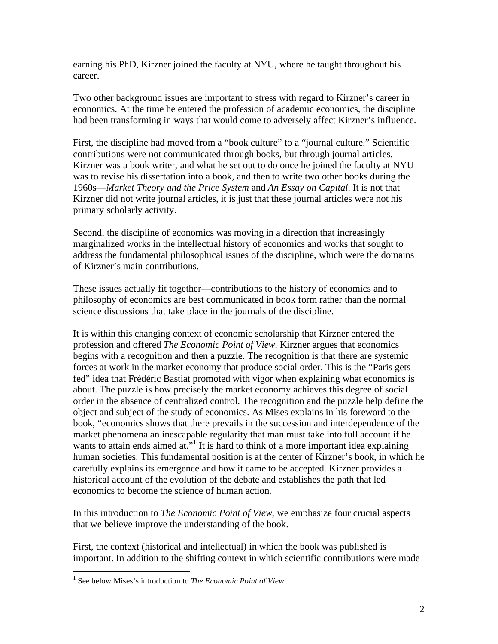earning his PhD, Kirzner joined the faculty at NYU, where he taught throughout his career.

Two other background issues are important to stress with regard to Kirzner's career in economics. At the time he entered the profession of academic economics, the discipline had been transforming in ways that would come to adversely affect Kirzner's influence.

First, the discipline had moved from a "book culture" to a "journal culture." Scientific contributions were not communicated through books, but through journal articles. Kirzner was a book writer, and what he set out to do once he joined the faculty at NYU was to revise his dissertation into a book, and then to write two other books during the 1960s—*Market Theory and the Price System* and *An Essay on Capital*. It is not that Kirzner did not write journal articles, it is just that these journal articles were not his primary scholarly activity.

Second, the discipline of economics was moving in a direction that increasingly marginalized works in the intellectual history of economics and works that sought to address the fundamental philosophical issues of the discipline, which were the domains of Kirzner's main contributions.

These issues actually fit together—contributions to the history of economics and to philosophy of economics are best communicated in book form rather than the normal science discussions that take place in the journals of the discipline.

It is within this changing context of economic scholarship that Kirzner entered the profession and offered *The Economic Point of View*. Kirzner argues that economics begins with a recognition and then a puzzle. The recognition is that there are systemic forces at work in the market economy that produce social order. This is the "Paris gets fed" idea that Frédéric Bastiat promoted with vigor when explaining what economics is about. The puzzle is how precisely the market economy achieves this degree of social order in the absence of centralized control. The recognition and the puzzle help define the object and subject of the study of economics. As Mises explains in his foreword to the book, "economics shows that there prevails in the succession and interdependence of the market phenomena an inescapable regularity that man must take into full account if he wants to attain ends aimed at."<sup>1</sup> It is hard to think of a more important idea explaining human societies. This fundamental position is at the center of Kirzner's book, in which he carefully explains its emergence and how it came to be accepted. Kirzner provides a historical account of the evolution of the debate and establishes the path that led economics to become the science of human action.

In this introduction to *The Economic Point of View*, we emphasize four crucial aspects that we believe improve the understanding of the book.

First, the context (historical and intellectual) in which the book was published is important. In addition to the shifting context in which scientific contributions were made

<sup>&</sup>lt;sup>1</sup> See below Mises's introduction to *The Economic Point of View*.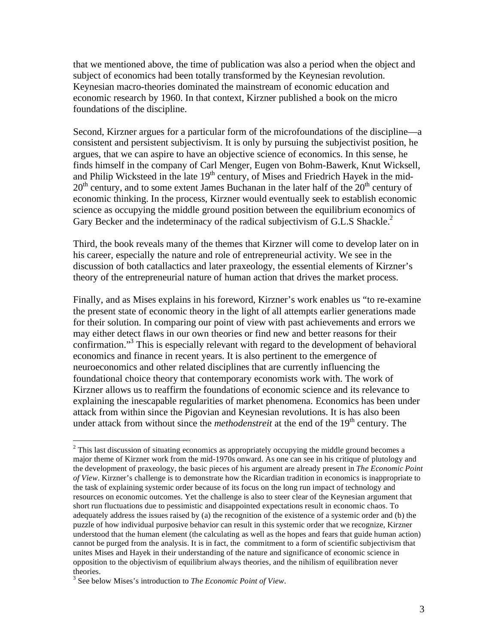that we mentioned above, the time of publication was also a period when the object and subject of economics had been totally transformed by the Keynesian revolution. Keynesian macro-theories dominated the mainstream of economic education and economic research by 1960. In that context, Kirzner published a book on the micro foundations of the discipline.

Second, Kirzner argues for a particular form of the microfoundations of the discipline—a consistent and persistent subjectivism. It is only by pursuing the subjectivist position, he argues, that we can aspire to have an objective science of economics. In this sense, he finds himself in the company of Carl Menger, Eugen von Bohm-Bawerk, Knut Wicksell, and Philip Wicksteed in the late 19<sup>th</sup> century, of Mises and Friedrich Hayek in the mid- $20<sup>th</sup>$  century, and to some extent James Buchanan in the later half of the  $20<sup>th</sup>$  century of economic thinking. In the process, Kirzner would eventually seek to establish economic science as occupying the middle ground position between the equilibrium economics of Gary Becker and the indeterminacy of the radical subjectivism of G.L.S Shackle.<sup>2</sup>

Third, the book reveals many of the themes that Kirzner will come to develop later on in his career, especially the nature and role of entrepreneurial activity. We see in the discussion of both catallactics and later praxeology, the essential elements of Kirzner's theory of the entrepreneurial nature of human action that drives the market process.

Finally, and as Mises explains in his foreword, Kirzner's work enables us "to re-examine the present state of economic theory in the light of all attempts earlier generations made for their solution. In comparing our point of view with past achievements and errors we may either detect flaws in our own theories or find new and better reasons for their confirmation."3 This is especially relevant with regard to the development of behavioral economics and finance in recent years. It is also pertinent to the emergence of neuroeconomics and other related disciplines that are currently influencing the foundational choice theory that contemporary economists work with. The work of Kirzner allows us to reaffirm the foundations of economic science and its relevance to explaining the inescapable regularities of market phenomena. Economics has been under attack from within since the Pigovian and Keynesian revolutions. It is has also been under attack from without since the *methodenstreit* at the end of the 19<sup>th</sup> century. The

<sup>&</sup>lt;u>.</u>  $2$  This last discussion of situating economics as appropriately occupying the middle ground becomes a major theme of Kirzner work from the mid-1970s onward. As one can see in his critique of plutology and the development of praxeology, the basic pieces of his argument are already present in *The Economic Point of View*. Kirzner's challenge is to demonstrate how the Ricardian tradition in economics is inappropriate to the task of explaining systemic order because of its focus on the long run impact of technology and resources on economic outcomes. Yet the challenge is also to steer clear of the Keynesian argument that short run fluctuations due to pessimistic and disappointed expectations result in economic chaos. To adequately address the issues raised by (a) the recognition of the existence of a systemic order and (b) the puzzle of how individual purposive behavior can result in this systemic order that we recognize, Kirzner understood that the human element (the calculating as well as the hopes and fears that guide human action) cannot be purged from the analysis. It is in fact, the commitment to a form of scientific subjectivism that unites Mises and Hayek in their understanding of the nature and significance of economic science in opposition to the objectivism of equilibrium always theories, and the nihilism of equilibration never theories.

<sup>3</sup> See below Mises's introduction to *The Economic Point of View*.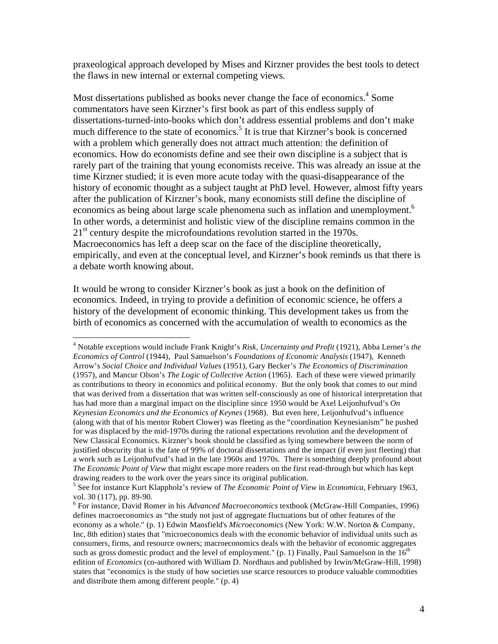praxeological approach developed by Mises and Kirzner provides the best tools to detect the flaws in new internal or external competing views.

Most dissertations published as books never change the face of economics.<sup>4</sup> Some commentators have seen Kirzner's first book as part of this endless supply of dissertations-turned-into-books which don't address essential problems and don't make much difference to the state of economics.<sup>5</sup> It is true that Kirzner's book is concerned with a problem which generally does not attract much attention: the definition of economics. How do economists define and see their own discipline is a subject that is rarely part of the training that young economists receive. This was already an issue at the time Kirzner studied; it is even more acute today with the quasi-disappearance of the history of economic thought as a subject taught at PhD level. However, almost fifty years after the publication of Kirzner's book, many economists still define the discipline of economics as being about large scale phenomena such as inflation and unemployment.<sup>6</sup> In other words, a determinist and holistic view of the discipline remains common in the  $21<sup>st</sup>$  century despite the microfoundations revolution started in the 1970s. Macroeconomics has left a deep scar on the face of the discipline theoretically, empirically, and even at the conceptual level, and Kirzner's book reminds us that there is a debate worth knowing about.

It would be wrong to consider Kirzner's book as just a book on the definition of economics. Indeed, in trying to provide a definition of economic science, he offers a history of the development of economic thinking. This development takes us from the birth of economics as concerned with the accumulation of wealth to economics as the

 4 Notable exceptions would include Frank Knight's *Risk, Uncertainty and Profit* (1921), Abba Lerner's *the Economics of Control* (1944), Paul Samuelson's *Foundations of Economic Analysis* (1947), Kenneth Arrow's *Social Choice and Individual Values* (1951), Gary Becker's *The Economics of Discrimination* (1957), and Mancur Olson's *The Logic of Collective Action* (1965). Each of these were viewed primarily as contributions to theory in economics and political economy. But the only book that comes to our mind that was derived from a dissertation that was written self-consciously as one of historical interpretation that has had more than a marginal impact on the discipline since 1950 would be Axel Leijonhufvud's *On Keynesian Economics and the Economics of Keynes* (1968). But even here, Leijonhufvud's influence (along with that of his mentor Robert Clower) was fleeting as the "coordination Keynesianism" he pushed for was displaced by the mid-1970s during the rational expectations revolution and the development of New Classical Economics. Kirzner's book should be classified as lying somewhere between the norm of justified obscurity that is the fate of 99% of doctoral dissertations and the impact (if even just fleeting) that a work such as Leijonhufvud's had in the late 1960s and 1970s. There is something deeply profound about *The Economic Point of View* that might escape more readers on the first read-through but which has kept drawing readers to the work over the years since its original publication.

<sup>5</sup> See for instance Kurt Klappholz's review of *The Economic Point of View* in *Economica*, February 1963, vol. 30 (117), pp. 89-90.

<sup>6</sup> For instance, David Romer in his *Advanced Macroeconomics* textbook (McGraw-Hill Companies, 1996) defines macroeconomics as "the study not just of aggregate fluctuations but of other features of the economy as a whole." (p. 1) Edwin Mansfield's *Microeconomics* (New York: W.W. Norton & Company, Inc, 8th edition) states that "microeconomics deals with the economic behavior of individual units such as consumers, firms, and resource owners; macroeconomics deals with the behavior of economic aggregates such as gross domestic product and the level of employment." (p. 1) Finally, Paul Samuelson in the  $16<sup>th</sup>$ edition of *Economics* (co-authored with William D. Nordhaus and published by Irwin/McGraw-Hill, 1998) states that "economics is the study of how societies use scarce resources to produce valuable commodities and distribute them among different people." (p. 4)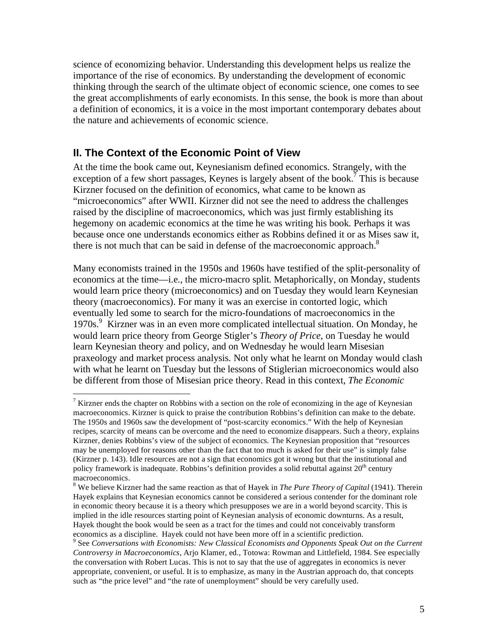science of economizing behavior. Understanding this development helps us realize the importance of the rise of economics. By understanding the development of economic thinking through the search of the ultimate object of economic science, one comes to see the great accomplishments of early economists. In this sense, the book is more than about a definition of economics, it is a voice in the most important contemporary debates about the nature and achievements of economic science.

### **II. The Context of the Economic Point of View**

 $\overline{a}$ 

At the time the book came out, Keynesianism defined economics. Strangely, with the exception of a few short passages, Keynes is largely absent of the book.<sup>7</sup> This is because Kirzner focused on the definition of economics, what came to be known as "microeconomics" after WWII. Kirzner did not see the need to address the challenges raised by the discipline of macroeconomics, which was just firmly establishing its hegemony on academic economics at the time he was writing his book. Perhaps it was because once one understands economics either as Robbins defined it or as Mises saw it, there is not much that can be said in defense of the macroeconomic approach.<sup>8</sup>

Many economists trained in the 1950s and 1960s have testified of the split-personality of economics at the time—i.e., the micro-macro split. Metaphorically, on Monday, students would learn price theory (microeconomics) and on Tuesday they would learn Keynesian theory (macroeconomics). For many it was an exercise in contorted logic, which eventually led some to search for the micro-foundations of macroeconomics in the 1970s.<sup>9</sup> Kirzner was in an even more complicated intellectual situation. On Monday, he would learn price theory from George Stigler's *Theory of Price*, on Tuesday he would learn Keynesian theory and policy, and on Wednesday he would learn Misesian praxeology and market process analysis. Not only what he learnt on Monday would clash with what he learnt on Tuesday but the lessons of Stiglerian microeconomics would also be different from those of Misesian price theory. Read in this context, *The Economic* 

<sup>&</sup>lt;sup>7</sup> Kirzner ends the chapter on Robbins with a section on the role of economizing in the age of Keynesian macroeconomics. Kirzner is quick to praise the contribution Robbins's definition can make to the debate. The 1950s and 1960s saw the development of "post-scarcity economics." With the help of Keynesian recipes, scarcity of means can be overcome and the need to economize disappears. Such a theory, explains Kirzner, denies Robbins's view of the subject of economics. The Keynesian proposition that "resources may be unemployed for reasons other than the fact that too much is asked for their use" is simply false (Kirzner p. 143). Idle resources are not a sign that economics got it wrong but that the institutional and policy framework is inadequate. Robbins's definition provides a solid rebuttal against  $20<sup>th</sup>$  century macroeconomics.

<sup>8</sup> We believe Kirzner had the same reaction as that of Hayek in *The Pure Theory of Capital* (1941). Therein Hayek explains that Keynesian economics cannot be considered a serious contender for the dominant role in economic theory because it is a theory which presupposes we are in a world beyond scarcity. This is implied in the idle resources starting point of Keynesian analysis of economic downturns. As a result, Hayek thought the book would be seen as a tract for the times and could not conceivably transform economics as a discipline. Hayek could not have been more off in a scientific prediction.

<sup>&</sup>lt;sup>9</sup> See *Conversations with Economists: New Classical Economists and Opponents Speak Out on the Current Controversy in Macroeconomics*, Arjo Klamer, ed., Totowa: Rowman and Littlefield, 1984. See especially the conversation with Robert Lucas. This is not to say that the use of aggregates in economics is never appropriate, convenient, or useful. It is to emphasize, as many in the Austrian approach do, that concepts such as "the price level" and "the rate of unemployment" should be very carefully used.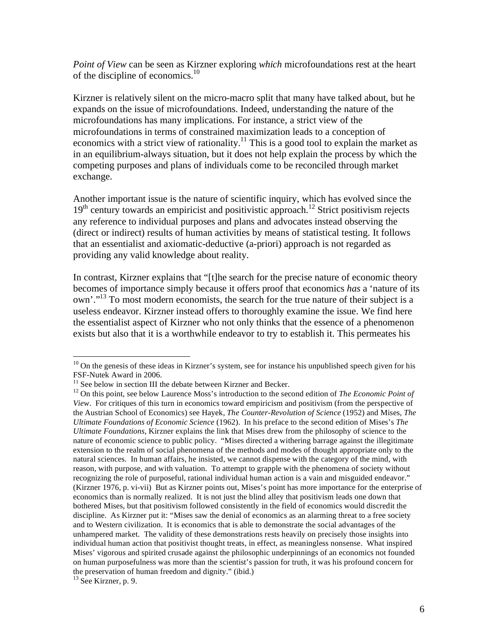*Point of View* can be seen as Kirzner exploring *which* microfoundations rest at the heart of the discipline of economics.<sup>10</sup>

Kirzner is relatively silent on the micro-macro split that many have talked about, but he expands on the issue of microfoundations. Indeed, understanding the nature of the microfoundations has many implications. For instance, a strict view of the microfoundations in terms of constrained maximization leads to a conception of economics with a strict view of rationality.<sup>11</sup> This is a good tool to explain the market as in an equilibrium-always situation, but it does not help explain the process by which the competing purposes and plans of individuals come to be reconciled through market exchange.

Another important issue is the nature of scientific inquiry, which has evolved since the  $19<sup>th</sup>$  century towards an empiricist and positivistic approach.<sup>12</sup> Strict positivism rejects any reference to individual purposes and plans and advocates instead observing the (direct or indirect) results of human activities by means of statistical testing. It follows that an essentialist and axiomatic-deductive (a-priori) approach is not regarded as providing any valid knowledge about reality.

In contrast, Kirzner explains that "[t]he search for the precise nature of economic theory becomes of importance simply because it offers proof that economics *has* a 'nature of its own'."13 To most modern economists, the search for the true nature of their subject is a useless endeavor. Kirzner instead offers to thoroughly examine the issue. We find here the essentialist aspect of Kirzner who not only thinks that the essence of a phenomenon exists but also that it is a worthwhile endeavor to try to establish it. This permeates his

 $10$  On the genesis of these ideas in Kirzner's system, see for instance his unpublished speech given for his FSF-Nutek Award in 2006.

 $11$  See below in section III the debate between Kirzner and Becker.

<sup>&</sup>lt;sup>12</sup> On this point, see below Laurence Moss's introduction to the second edition of *The Economic Point of View*. For critiques of this turn in economics toward empiricism and positivism (from the perspective of the Austrian School of Economics) see Hayek, *The Counter-Revolution of Science* (1952) and Mises, *The Ultimate Foundations of Economic Science* (1962). In his preface to the second edition of Mises's *The Ultimate Foundations*, Kirzner explains the link that Mises drew from the philosophy of science to the nature of economic science to public policy. "Mises directed a withering barrage against the illegitimate extension to the realm of social phenomena of the methods and modes of thought appropriate only to the natural sciences. In human affairs, he insisted, we cannot dispense with the category of the mind, with reason, with purpose, and with valuation. To attempt to grapple with the phenomena of society without recognizing the role of purposeful, rational individual human action is a vain and misguided endeavor." (Kirzner 1976, p. vi-vii) But as Kirzner points out, Mises's point has more importance for the enterprise of economics than is normally realized. It is not just the blind alley that positivism leads one down that bothered Mises, but that positivism followed consistently in the field of economics would discredit the discipline. As Kirzner put it: "Mises saw the denial of economics as an alarming threat to a free society and to Western civilization. It is economics that is able to demonstrate the social advantages of the unhampered market. The validity of these demonstrations rests heavily on precisely those insights into individual human action that positivist thought treats, in effect, as meaningless nonsense. What inspired Mises' vigorous and spirited crusade against the philosophic underpinnings of an economics not founded on human purposefulness was more than the scientist's passion for truth, it was his profound concern for the preservation of human freedom and dignity." (ibid.)

 $13$  See Kirzner, p. 9.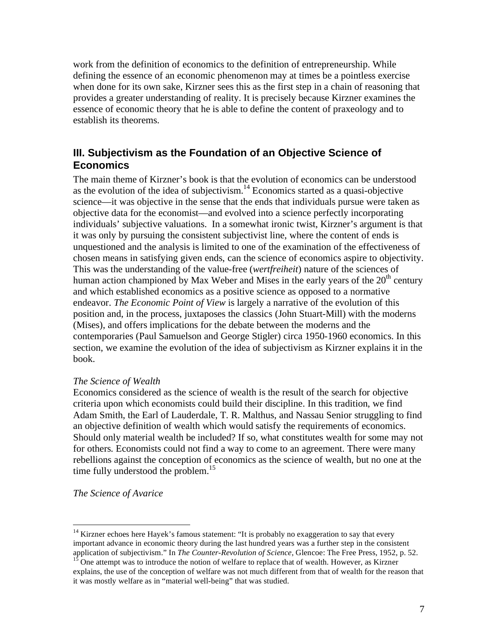work from the definition of economics to the definition of entrepreneurship. While defining the essence of an economic phenomenon may at times be a pointless exercise when done for its own sake, Kirzner sees this as the first step in a chain of reasoning that provides a greater understanding of reality. It is precisely because Kirzner examines the essence of economic theory that he is able to define the content of praxeology and to establish its theorems.

### **III. Subjectivism as the Foundation of an Objective Science of Economics**

The main theme of Kirzner's book is that the evolution of economics can be understood as the evolution of the idea of subjectivism. $14$  Economics started as a quasi-objective science—it was objective in the sense that the ends that individuals pursue were taken as objective data for the economist—and evolved into a science perfectly incorporating individuals' subjective valuations. In a somewhat ironic twist, Kirzner's argument is that it was only by pursuing the consistent subjectivist line, where the content of ends is unquestioned and the analysis is limited to one of the examination of the effectiveness of chosen means in satisfying given ends, can the science of economics aspire to objectivity. This was the understanding of the value-free (*wertfreiheit*) nature of the sciences of human action championed by Max Weber and Mises in the early years of the  $20<sup>th</sup>$  century and which established economics as a positive science as opposed to a normative endeavor. *The Economic Point of View* is largely a narrative of the evolution of this position and, in the process, juxtaposes the classics (John Stuart-Mill) with the moderns (Mises), and offers implications for the debate between the moderns and the contemporaries (Paul Samuelson and George Stigler) circa 1950-1960 economics. In this section, we examine the evolution of the idea of subjectivism as Kirzner explains it in the book.

#### *The Science of Wealth*

Economics considered as the science of wealth is the result of the search for objective criteria upon which economists could build their discipline. In this tradition, we find Adam Smith, the Earl of Lauderdale, T. R. Malthus, and Nassau Senior struggling to find an objective definition of wealth which would satisfy the requirements of economics. Should only material wealth be included? If so, what constitutes wealth for some may not for others. Economists could not find a way to come to an agreement. There were many rebellions against the conception of economics as the science of wealth, but no one at the time fully understood the problem.<sup>15</sup>

#### *The Science of Avarice*

 $14$  Kirzner echoes here Hayek's famous statement: "It is probably no exaggeration to say that every important advance in economic theory during the last hundred years was a further step in the consistent application of subjectivism." In *The Counter-Revolution of Science*, Glencoe: The Free Press, 1952, p. 52.<br><sup>15</sup> One attempt was to introduce the notion of welfare to replace that of wealth. However, as Kirzner

explains, the use of the conception of welfare was not much different from that of wealth for the reason that it was mostly welfare as in "material well-being" that was studied.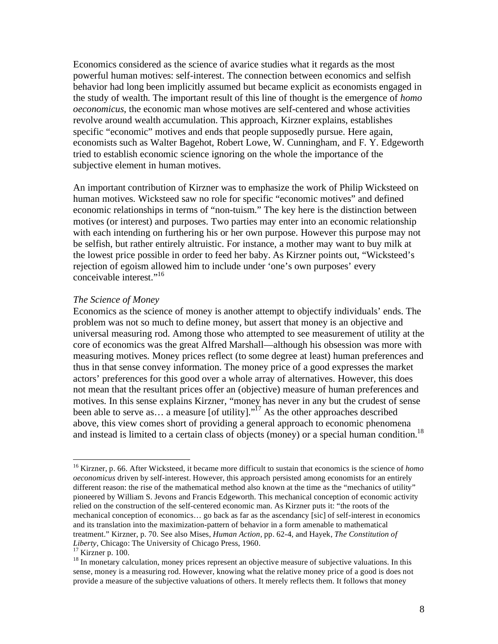Economics considered as the science of avarice studies what it regards as the most powerful human motives: self-interest. The connection between economics and selfish behavior had long been implicitly assumed but became explicit as economists engaged in the study of wealth. The important result of this line of thought is the emergence of *homo oeconomicus*, the economic man whose motives are self-centered and whose activities revolve around wealth accumulation. This approach, Kirzner explains, establishes specific "economic" motives and ends that people supposedly pursue. Here again, economists such as Walter Bagehot, Robert Lowe, W. Cunningham, and F. Y. Edgeworth tried to establish economic science ignoring on the whole the importance of the subjective element in human motives.

An important contribution of Kirzner was to emphasize the work of Philip Wicksteed on human motives. Wicksteed saw no role for specific "economic motives" and defined economic relationships in terms of "non-tuism." The key here is the distinction between motives (or interest) and purposes. Two parties may enter into an economic relationship with each intending on furthering his or her own purpose. However this purpose may not be selfish, but rather entirely altruistic. For instance, a mother may want to buy milk at the lowest price possible in order to feed her baby. As Kirzner points out, "Wicksteed's rejection of egoism allowed him to include under 'one's own purposes' every conceivable interest."<sup>16</sup>

#### *The Science of Money*

Economics as the science of money is another attempt to objectify individuals' ends. The problem was not so much to define money, but assert that money is an objective and universal measuring rod. Among those who attempted to see measurement of utility at the core of economics was the great Alfred Marshall—although his obsession was more with measuring motives. Money prices reflect (to some degree at least) human preferences and thus in that sense convey information. The money price of a good expresses the market actors' preferences for this good over a whole array of alternatives. However, this does not mean that the resultant prices offer an (objective) measure of human preferences and motives. In this sense explains Kirzner, "money has never in any but the crudest of sense been able to serve as... a measure [of utility]. $\cdot$ <sup>17</sup> As the other approaches described above, this view comes short of providing a general approach to economic phenomena and instead is limited to a certain class of objects (money) or a special human condition.<sup>18</sup>

1

<sup>16</sup> Kirzner, p. 66. After Wicksteed, it became more difficult to sustain that economics is the science of *homo oeconomicus* driven by self-interest. However, this approach persisted among economists for an entirely different reason: the rise of the mathematical method also known at the time as the "mechanics of utility" pioneered by William S. Jevons and Francis Edgeworth. This mechanical conception of economic activity relied on the construction of the self-centered economic man. As Kirzner puts it: "the roots of the mechanical conception of economics… go back as far as the ascendancy [sic] of self-interest in economics and its translation into the maximization-pattern of behavior in a form amenable to mathematical treatment." Kirzner, p. 70. See also Mises, *Human Action*, pp. 62-4, and Hayek, *The Constitution of Liberty*, Chicago: The University of Chicago Press, 1960. 17 Kirzner p. 100.

<sup>&</sup>lt;sup>18</sup> In monetary calculation, money prices represent an objective measure of subjective valuations. In this sense, money is a measuring rod. However, knowing what the relative money price of a good is does not provide a measure of the subjective valuations of others. It merely reflects them. It follows that money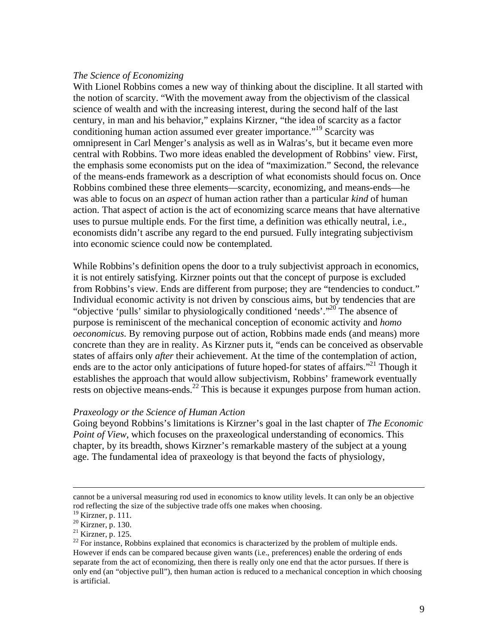#### *The Science of Economizing*

With Lionel Robbins comes a new way of thinking about the discipline. It all started with the notion of scarcity. "With the movement away from the objectivism of the classical science of wealth and with the increasing interest, during the second half of the last century, in man and his behavior," explains Kirzner, "the idea of scarcity as a factor conditioning human action assumed ever greater importance.<sup>"19</sup> Scarcity was omnipresent in Carl Menger's analysis as well as in Walras's, but it became even more central with Robbins. Two more ideas enabled the development of Robbins' view. First, the emphasis some economists put on the idea of "maximization." Second, the relevance of the means-ends framework as a description of what economists should focus on. Once Robbins combined these three elements—scarcity, economizing, and means-ends—he was able to focus on an *aspect* of human action rather than a particular *kind* of human action. That aspect of action is the act of economizing scarce means that have alternative uses to pursue multiple ends. For the first time, a definition was ethically neutral, i.e., economists didn't ascribe any regard to the end pursued. Fully integrating subjectivism into economic science could now be contemplated.

While Robbins's definition opens the door to a truly subjectivist approach in economics, it is not entirely satisfying. Kirzner points out that the concept of purpose is excluded from Robbins's view. Ends are different from purpose; they are "tendencies to conduct." Individual economic activity is not driven by conscious aims, but by tendencies that are "objective 'pulls' similar to physiologically conditioned 'needs'."<sup>20</sup> The absence of purpose is reminiscent of the mechanical conception of economic activity and *homo oeconomicus*. By removing purpose out of action, Robbins made ends (and means) more concrete than they are in reality. As Kirzner puts it, "ends can be conceived as observable states of affairs only *after* their achievement. At the time of the contemplation of action, ends are to the actor only anticipations of future hoped-for states of affairs.<sup>"21</sup> Though it establishes the approach that would allow subjectivism, Robbins' framework eventually rests on objective means-ends.<sup>22</sup> This is because it expunges purpose from human action.

#### *Praxeology or the Science of Human Action*

Going beyond Robbins's limitations is Kirzner's goal in the last chapter of *The Economic Point of View*, which focuses on the praxeological understanding of economics. This chapter, by its breadth, shows Kirzner's remarkable mastery of the subject at a young age. The fundamental idea of praxeology is that beyond the facts of physiology,

cannot be a universal measuring rod used in economics to know utility levels. It can only be an objective rod reflecting the size of the subjective trade offs one makes when choosing.

<sup>19</sup> Kirzner, p. 111.

<sup>20</sup> Kirzner, p. 130.

 $^{21}$  Kirzner, p. 125.

 $^{22}$  For instance, Robbins explained that economics is characterized by the problem of multiple ends. However if ends can be compared because given wants (i.e., preferences) enable the ordering of ends separate from the act of economizing, then there is really only one end that the actor pursues. If there is only end (an "objective pull"), then human action is reduced to a mechanical conception in which choosing is artificial.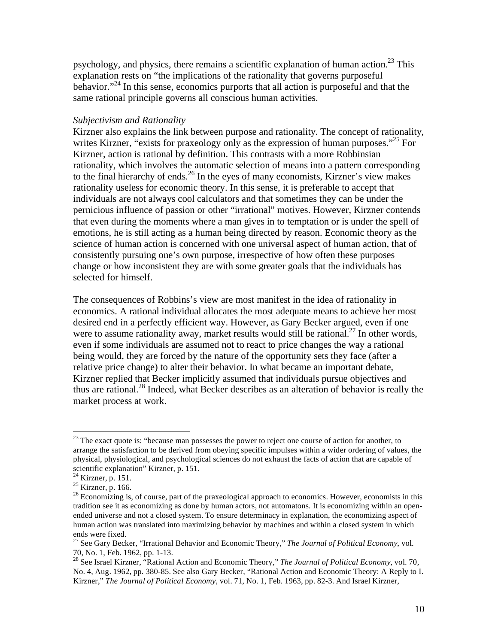psychology, and physics, there remains a scientific explanation of human action.<sup>23</sup> This explanation rests on "the implications of the rationality that governs purposeful behavior."<sup>24</sup> In this sense, economics purports that all action is purposeful and that the same rational principle governs all conscious human activities.

#### *Subjectivism and Rationality*

Kirzner also explains the link between purpose and rationality. The concept of rationality, writes Kirzner, "exists for praxeology only as the expression of human purposes."<sup>25</sup> For Kirzner, action is rational by definition. This contrasts with a more Robbinsian rationality, which involves the automatic selection of means into a pattern corresponding to the final hierarchy of ends.<sup>26</sup> In the eyes of many economists, Kirzner's view makes rationality useless for economic theory. In this sense, it is preferable to accept that individuals are not always cool calculators and that sometimes they can be under the pernicious influence of passion or other "irrational" motives. However, Kirzner contends that even during the moments where a man gives in to temptation or is under the spell of emotions, he is still acting as a human being directed by reason. Economic theory as the science of human action is concerned with one universal aspect of human action, that of consistently pursuing one's own purpose, irrespective of how often these purposes change or how inconsistent they are with some greater goals that the individuals has selected for himself.

The consequences of Robbins's view are most manifest in the idea of rationality in economics. A rational individual allocates the most adequate means to achieve her most desired end in a perfectly efficient way. However, as Gary Becker argued, even if one were to assume rationality away, market results would still be rational.<sup>27</sup> In other words, even if some individuals are assumed not to react to price changes the way a rational being would, they are forced by the nature of the opportunity sets they face (after a relative price change) to alter their behavior. In what became an important debate, Kirzner replied that Becker implicitly assumed that individuals pursue objectives and thus are rational.28 Indeed, what Becker describes as an alteration of behavior is really the market process at work.

 $^{23}$  The exact quote is: "because man possesses the power to reject one course of action for another, to arrange the satisfaction to be derived from obeying specific impulses within a wider ordering of values, the physical, physiological, and psychological sciences do not exhaust the facts of action that are capable of scientific explanation" Kirzner, p. 151.

 $24$  Kirzner, p. 151.

 $25$  Kirzner, p. 166.

<sup>&</sup>lt;sup>26</sup> Economizing is, of course, part of the praxeological approach to economics. However, economists in this tradition see it as economizing as done by human actors, not automatons. It is economizing within an openended universe and not a closed system. To ensure determinacy in explanation, the economizing aspect of human action was translated into maximizing behavior by machines and within a closed system in which ends were fixed.

<sup>27</sup> See Gary Becker, "Irrational Behavior and Economic Theory," *The Journal of Political Economy*, vol. 70, No. 1, Feb. 1962, pp. 1-13.

<sup>28</sup> See Israel Kirzner, "Rational Action and Economic Theory," *The Journal of Political Economy*, vol. 70, No. 4, Aug. 1962, pp. 380-85. See also Gary Becker, "Rational Action and Economic Theory: A Reply to I. Kirzner," *The Journal of Political Economy*, vol. 71, No. 1, Feb. 1963, pp. 82-3. And Israel Kirzner,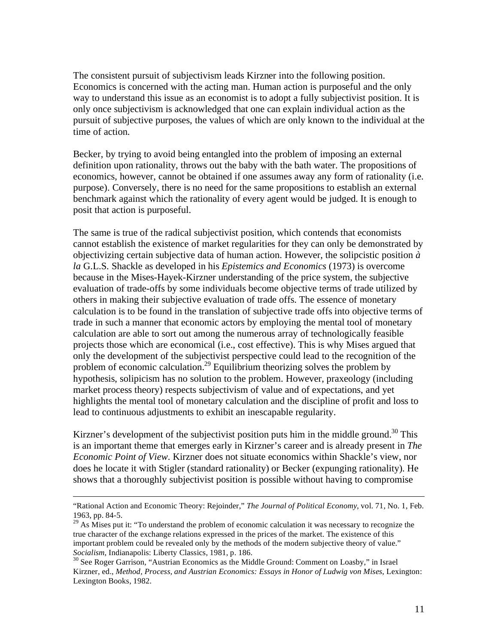The consistent pursuit of subjectivism leads Kirzner into the following position. Economics is concerned with the acting man. Human action is purposeful and the only way to understand this issue as an economist is to adopt a fully subjectivist position. It is only once subjectivism is acknowledged that one can explain individual action as the pursuit of subjective purposes, the values of which are only known to the individual at the time of action.

Becker, by trying to avoid being entangled into the problem of imposing an external definition upon rationality, throws out the baby with the bath water. The propositions of economics, however, cannot be obtained if one assumes away any form of rationality (i.e. purpose). Conversely, there is no need for the same propositions to establish an external benchmark against which the rationality of every agent would be judged. It is enough to posit that action is purposeful.

The same is true of the radical subjectivist position, which contends that economists cannot establish the existence of market regularities for they can only be demonstrated by objectivizing certain subjective data of human action. However, the solipcistic position *à la* G.L.S. Shackle as developed in his *Epistemics and Economics* (1973) is overcome because in the Mises-Hayek-Kirzner understanding of the price system, the subjective evaluation of trade-offs by some individuals become objective terms of trade utilized by others in making their subjective evaluation of trade offs. The essence of monetary calculation is to be found in the translation of subjective trade offs into objective terms of trade in such a manner that economic actors by employing the mental tool of monetary calculation are able to sort out among the numerous array of technologically feasible projects those which are economical (i.e., cost effective). This is why Mises argued that only the development of the subjectivist perspective could lead to the recognition of the problem of economic calculation.<sup>29</sup> Equilibrium theorizing solves the problem by hypothesis, solipicism has no solution to the problem. However, praxeology (including market process theory) respects subjectivism of value and of expectations, and yet highlights the mental tool of monetary calculation and the discipline of profit and loss to lead to continuous adjustments to exhibit an inescapable regularity.

Kirzner's development of the subjectivist position puts him in the middle ground.<sup>30</sup> This is an important theme that emerges early in Kirzner's career and is already present in *The Economic Point of View*. Kirzner does not situate economics within Shackle's view, nor does he locate it with Stigler (standard rationality) or Becker (expunging rationality). He shows that a thoroughly subjectivist position is possible without having to compromise

 <sup>&</sup>quot;Rational Action and Economic Theory: Rejoinder," *The Journal of Political Economy*, vol. 71, No. 1, Feb. 1963, pp. 84-5.

<sup>&</sup>lt;sup>29</sup> As Mises put it: "To understand the problem of economic calculation it was necessary to recognize the true character of the exchange relations expressed in the prices of the market. The existence of this important problem could be revealed only by the methods of the modern subjective theory of value." *Socialism*, Indianapolis: Liberty Classics, 1981, p. 186.<br><sup>30</sup> See Roger Garrison, "Austrian Economics as the Middle Ground: Comment on Loasby," in Israel

Kirzner, ed., *Method, Process, and Austrian Economics: Essays in Honor of Ludwig von Mises*, Lexington: Lexington Books, 1982.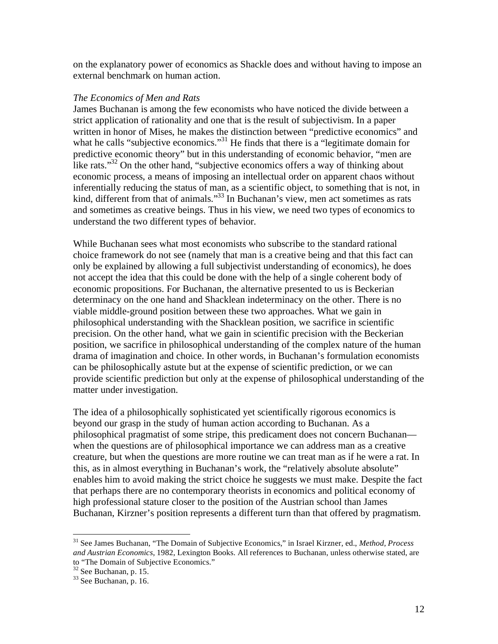on the explanatory power of economics as Shackle does and without having to impose an external benchmark on human action.

#### *The Economics of Men and Rats*

James Buchanan is among the few economists who have noticed the divide between a strict application of rationality and one that is the result of subjectivism. In a paper written in honor of Mises, he makes the distinction between "predictive economics" and what he calls "subjective economics."<sup>31</sup> He finds that there is a "legitimate domain for predictive economic theory" but in this understanding of economic behavior, "men are like rats."<sup>32</sup> On the other hand, "subjective economics offers a way of thinking about economic process, a means of imposing an intellectual order on apparent chaos without inferentially reducing the status of man, as a scientific object, to something that is not, in kind, different from that of animals."<sup>33</sup> In Buchanan's view, men act sometimes as rats and sometimes as creative beings. Thus in his view, we need two types of economics to understand the two different types of behavior.

While Buchanan sees what most economists who subscribe to the standard rational choice framework do not see (namely that man is a creative being and that this fact can only be explained by allowing a full subjectivist understanding of economics), he does not accept the idea that this could be done with the help of a single coherent body of economic propositions. For Buchanan, the alternative presented to us is Beckerian determinacy on the one hand and Shacklean indeterminacy on the other. There is no viable middle-ground position between these two approaches. What we gain in philosophical understanding with the Shacklean position, we sacrifice in scientific precision. On the other hand, what we gain in scientific precision with the Beckerian position, we sacrifice in philosophical understanding of the complex nature of the human drama of imagination and choice. In other words, in Buchanan's formulation economists can be philosophically astute but at the expense of scientific prediction, or we can provide scientific prediction but only at the expense of philosophical understanding of the matter under investigation.

The idea of a philosophically sophisticated yet scientifically rigorous economics is beyond our grasp in the study of human action according to Buchanan. As a philosophical pragmatist of some stripe, this predicament does not concern Buchanan when the questions are of philosophical importance we can address man as a creative creature, but when the questions are more routine we can treat man as if he were a rat. In this, as in almost everything in Buchanan's work, the "relatively absolute absolute" enables him to avoid making the strict choice he suggests we must make. Despite the fact that perhaps there are no contemporary theorists in economics and political economy of high professional stature closer to the position of the Austrian school than James Buchanan, Kirzner's position represents a different turn than that offered by pragmatism.

1

<sup>31</sup> See James Buchanan, "The Domain of Subjective Economics," in Israel Kirzner, ed., *Method, Process and Austrian Economics*, 1982, Lexington Books. All references to Buchanan, unless otherwise stated, are to "The Domain of Subjective Economics."

 $32$  See Buchanan, p. 15.

<sup>&</sup>lt;sup>33</sup> See Buchanan, p. 16.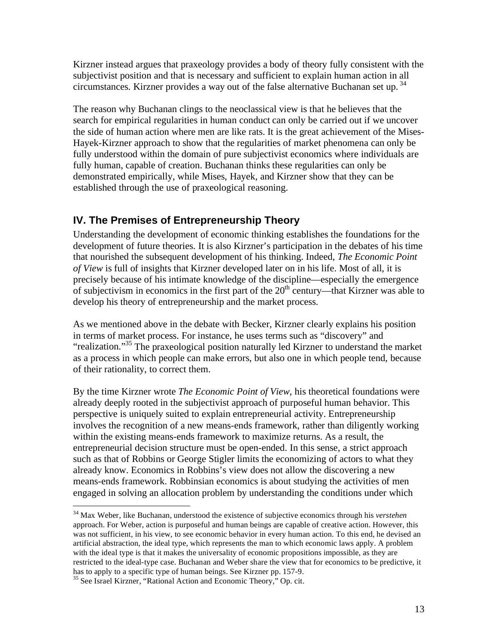Kirzner instead argues that praxeology provides a body of theory fully consistent with the subjectivist position and that is necessary and sufficient to explain human action in all circumstances. Kirzner provides a way out of the false alternative Buchanan set up.<sup>34</sup>

The reason why Buchanan clings to the neoclassical view is that he believes that the search for empirical regularities in human conduct can only be carried out if we uncover the side of human action where men are like rats. It is the great achievement of the Mises-Hayek-Kirzner approach to show that the regularities of market phenomena can only be fully understood within the domain of pure subjectivist economics where individuals are fully human, capable of creation. Buchanan thinks these regularities can only be demonstrated empirically, while Mises, Hayek, and Kirzner show that they can be established through the use of praxeological reasoning.

# **IV. The Premises of Entrepreneurship Theory**

Understanding the development of economic thinking establishes the foundations for the development of future theories. It is also Kirzner's participation in the debates of his time that nourished the subsequent development of his thinking. Indeed, *The Economic Point of View* is full of insights that Kirzner developed later on in his life. Most of all, it is precisely because of his intimate knowledge of the discipline—especially the emergence of subjectivism in economics in the first part of the  $20<sup>th</sup>$  century—that Kirzner was able to develop his theory of entrepreneurship and the market process.

As we mentioned above in the debate with Becker, Kirzner clearly explains his position in terms of market process. For instance, he uses terms such as "discovery" and "realization."<sup>35</sup> The praxeological position naturally led Kirzner to understand the market as a process in which people can make errors, but also one in which people tend, because of their rationality, to correct them.

By the time Kirzner wrote *The Economic Point of View*, his theoretical foundations were already deeply rooted in the subjectivist approach of purposeful human behavior. This perspective is uniquely suited to explain entrepreneurial activity. Entrepreneurship involves the recognition of a new means-ends framework, rather than diligently working within the existing means-ends framework to maximize returns. As a result, the entrepreneurial decision structure must be open-ended. In this sense, a strict approach such as that of Robbins or George Stigler limits the economizing of actors to what they already know. Economics in Robbins's view does not allow the discovering a new means-ends framework. Robbinsian economics is about studying the activities of men engaged in solving an allocation problem by understanding the conditions under which

1

<sup>34</sup> Max Weber, like Buchanan, understood the existence of subjective economics through his *verstehen* approach. For Weber, action is purposeful and human beings are capable of creative action. However, this was not sufficient, in his view, to see economic behavior in every human action. To this end, he devised an artificial abstraction, the ideal type, which represents the man to which economic laws apply. A problem with the ideal type is that it makes the universality of economic propositions impossible, as they are restricted to the ideal-type case. Buchanan and Weber share the view that for economics to be predictive, it has to apply to a specific type of human beings. See Kirzner pp. 157-9.

<sup>&</sup>lt;sup>35</sup> See Israel Kirzner, "Rational Action and Economic Theory," Op. cit.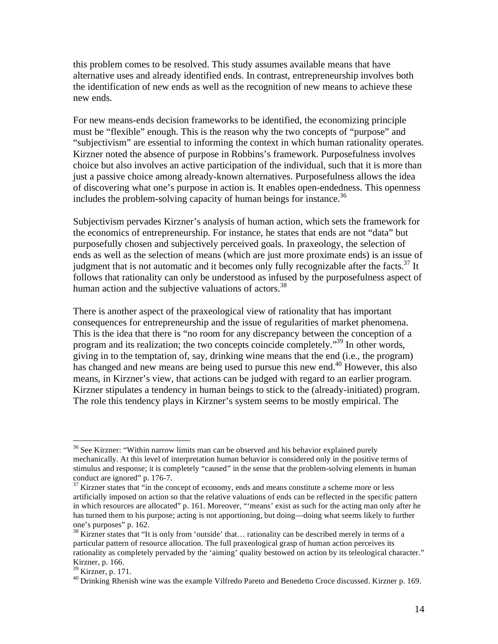this problem comes to be resolved. This study assumes available means that have alternative uses and already identified ends. In contrast, entrepreneurship involves both the identification of new ends as well as the recognition of new means to achieve these new ends.

For new means-ends decision frameworks to be identified, the economizing principle must be "flexible" enough. This is the reason why the two concepts of "purpose" and "subjectivism" are essential to informing the context in which human rationality operates. Kirzner noted the absence of purpose in Robbins's framework. Purposefulness involves choice but also involves an active participation of the individual, such that it is more than just a passive choice among already-known alternatives. Purposefulness allows the idea of discovering what one's purpose in action is. It enables open-endedness. This openness includes the problem-solving capacity of human beings for instance.<sup>36</sup>

Subjectivism pervades Kirzner's analysis of human action, which sets the framework for the economics of entrepreneurship. For instance, he states that ends are not "data" but purposefully chosen and subjectively perceived goals. In praxeology, the selection of ends as well as the selection of means (which are just more proximate ends) is an issue of judgment that is not automatic and it becomes only fully recognizable after the facts.<sup>37</sup> It follows that rationality can only be understood as infused by the purposefulness aspect of human action and the subjective valuations of actors.<sup>38</sup>

There is another aspect of the praxeological view of rationality that has important consequences for entrepreneurship and the issue of regularities of market phenomena. This is the idea that there is "no room for any discrepancy between the conception of a program and its realization; the two concepts coincide completely."<sup>39</sup> In other words, giving in to the temptation of, say, drinking wine means that the end (i.e., the program) has changed and new means are being used to pursue this new end.<sup>40</sup> However, this also means, in Kirzner's view, that actions can be judged with regard to an earlier program. Kirzner stipulates a tendency in human beings to stick to the (already-initiated) program. The role this tendency plays in Kirzner's system seems to be mostly empirical. The

 $36$  See Kirzner: "Within narrow limits man can be observed and his behavior explained purely mechanically. At this level of interpretation human behavior is considered only in the positive terms of stimulus and response; it is completely "caused" in the sense that the problem-solving elements in human conduct are ignored" p. 176-7.

 $37$  Kirzner states that "in the concept of economy, ends and means constitute a scheme more or less artificially imposed on action so that the relative valuations of ends can be reflected in the specific pattern in which resources are allocated" p. 161. Moreover, "'means' exist as such for the acting man only after he has turned them to his purpose; acting is not apportioning, but doing—doing what seems likely to further one's purposes" p. 162.

 $38$  Kirzner states that "It is only from 'outside' that... rationality can be described merely in terms of a particular pattern of resource allocation. The full praxeological grasp of human action perceives its rationality as completely pervaded by the 'aiming' quality bestowed on action by its teleological character." Kirzner, p. 166.

<sup>39</sup> Kirzner, p. 171.

<sup>&</sup>lt;sup>40</sup> Drinking Rhenish wine was the example Vilfredo Pareto and Benedetto Croce discussed. Kirzner p. 169.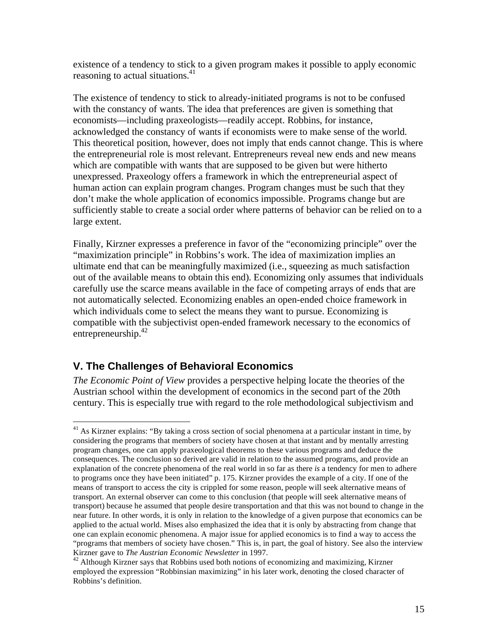existence of a tendency to stick to a given program makes it possible to apply economic reasoning to actual situations. $41$ 

The existence of tendency to stick to already-initiated programs is not to be confused with the constancy of wants. The idea that preferences are given is something that economists—including praxeologists—readily accept. Robbins, for instance, acknowledged the constancy of wants if economists were to make sense of the world. This theoretical position, however, does not imply that ends cannot change. This is where the entrepreneurial role is most relevant. Entrepreneurs reveal new ends and new means which are compatible with wants that are supposed to be given but were hitherto unexpressed. Praxeology offers a framework in which the entrepreneurial aspect of human action can explain program changes. Program changes must be such that they don't make the whole application of economics impossible. Programs change but are sufficiently stable to create a social order where patterns of behavior can be relied on to a large extent.

Finally, Kirzner expresses a preference in favor of the "economizing principle" over the "maximization principle" in Robbins's work. The idea of maximization implies an ultimate end that can be meaningfully maximized (i.e., squeezing as much satisfaction out of the available means to obtain this end). Economizing only assumes that individuals carefully use the scarce means available in the face of competing arrays of ends that are not automatically selected. Economizing enables an open-ended choice framework in which individuals come to select the means they want to pursue. Economizing is compatible with the subjectivist open-ended framework necessary to the economics of entrepreneurship. $42$ 

### **V. The Challenges of Behavioral Economics**

 $\overline{a}$ 

*The Economic Point of View* provides a perspective helping locate the theories of the Austrian school within the development of economics in the second part of the 20th century. This is especially true with regard to the role methodological subjectivism and

 $41$  As Kirzner explains: "By taking a cross section of social phenomena at a particular instant in time, by considering the programs that members of society have chosen at that instant and by mentally arresting program changes, one can apply praxeological theorems to these various programs and deduce the consequences. The conclusion so derived are valid in relation to the assumed programs, and provide an explanation of the concrete phenomena of the real world in so far as there *is* a tendency for men to adhere to programs once they have been initiated" p. 175. Kirzner provides the example of a city. If one of the means of transport to access the city is crippled for some reason, people will seek alternative means of transport. An external observer can come to this conclusion (that people will seek alternative means of transport) because he assumed that people desire transportation and that this was not bound to change in the near future. In other words, it is only in relation to the knowledge of a given purpose that economics can be applied to the actual world. Mises also emphasized the idea that it is only by abstracting from change that one can explain economic phenomena. A major issue for applied economics is to find a way to access the "programs that members of society have chosen." This is, in part, the goal of history. See also the interview

Kirzner gave to *The Austrian Economic Newsletter* in 1997.<br><sup>42</sup> Although Kirzner says that Robbins used both notions of economizing and maximizing, Kirzner employed the expression "Robbinsian maximizing" in his later work, denoting the closed character of Robbins's definition.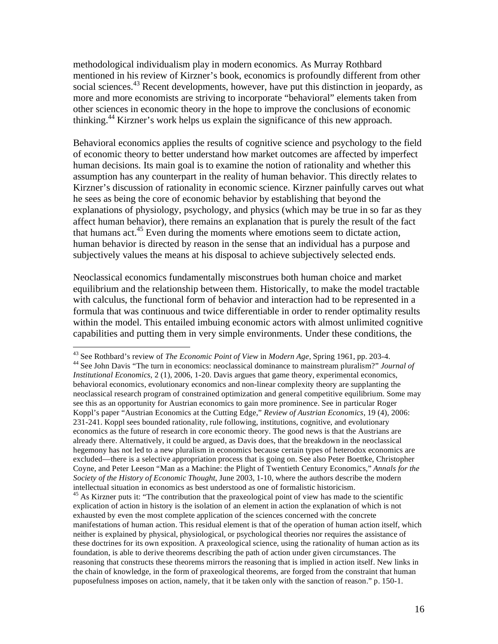methodological individualism play in modern economics. As Murray Rothbard mentioned in his review of Kirzner's book, economics is profoundly different from other social sciences.<sup>43</sup> Recent developments, however, have put this distinction in jeopardy, as more and more economists are striving to incorporate "behavioral" elements taken from other sciences in economic theory in the hope to improve the conclusions of economic thinking.44 Kirzner's work helps us explain the significance of this new approach.

Behavioral economics applies the results of cognitive science and psychology to the field of economic theory to better understand how market outcomes are affected by imperfect human decisions. Its main goal is to examine the notion of rationality and whether this assumption has any counterpart in the reality of human behavior. This directly relates to Kirzner's discussion of rationality in economic science. Kirzner painfully carves out what he sees as being the core of economic behavior by establishing that beyond the explanations of physiology, psychology, and physics (which may be true in so far as they affect human behavior), there remains an explanation that is purely the result of the fact that humans act.<sup>45</sup> Even during the moments where emotions seem to dictate action, human behavior is directed by reason in the sense that an individual has a purpose and subjectively values the means at his disposal to achieve subjectively selected ends.

Neoclassical economics fundamentally misconstrues both human choice and market equilibrium and the relationship between them. Historically, to make the model tractable with calculus, the functional form of behavior and interaction had to be represented in a formula that was continuous and twice differentiable in order to render optimality results within the model. This entailed imbuing economic actors with almost unlimited cognitive capabilities and putting them in very simple environments. Under these conditions, the

<sup>&</sup>lt;sup>43</sup> See Rothbard's review of *The Economic Point of View* in *Modern Age*, Spring 1961, pp. 203-4. <sup>44</sup> See John Davis "The turn in economics: neoclassical dominance to mainstream pluralism?" *Journal of Institutional Economics*, 2 (1), 2006, 1-20. Davis argues that game theory, experimental economics, behavioral economics, evolutionary economics and non-linear complexity theory are supplanting the

neoclassical research program of constrained optimization and general competitive equilibrium. Some may see this as an opportunity for Austrian economics to gain more prominence. See in particular Roger Koppl's paper "Austrian Economics at the Cutting Edge," *Review of Austrian Economics*, 19 (4), 2006: 231-241. Koppl sees bounded rationality, rule following, institutions, cognitive, and evolutionary economics as the future of research in core economic theory. The good news is that the Austrians are already there. Alternatively, it could be argued, as Davis does, that the breakdown in the neoclassical hegemony has not led to a new pluralism in economics because certain types of heterodox economics are excluded—there is a selective appropriation process that is going on. See also Peter Boettke, Christopher Coyne, and Peter Leeson "Man as a Machine: the Plight of Twentieth Century Economics," *Annals for the Society of the History of Economic Thought*, June 2003, 1-10, where the authors describe the modern intellectual situation in economics as best understood as one of formalistic historicism.

 $45$  As Kirzner puts it: "The contribution that the praxeological point of view has made to the scientific explication of action in history is the isolation of an element in action the explanation of which is not exhausted by even the most complete application of the sciences concerned with the concrete manifestations of human action. This residual element is that of the operation of human action itself, which neither is explained by physical, physiological, or psychological theories nor requires the assistance of these doctrines for its own exposition. A praxeological science, using the rationality of human action as its foundation, is able to derive theorems describing the path of action under given circumstances. The reasoning that constructs these theorems mirrors the reasoning that is implied in action itself. New links in the chain of knowledge, in the form of praxeological theorems, are forged from the constraint that human puposefulness imposes on action, namely, that it be taken only with the sanction of reason." p. 150-1.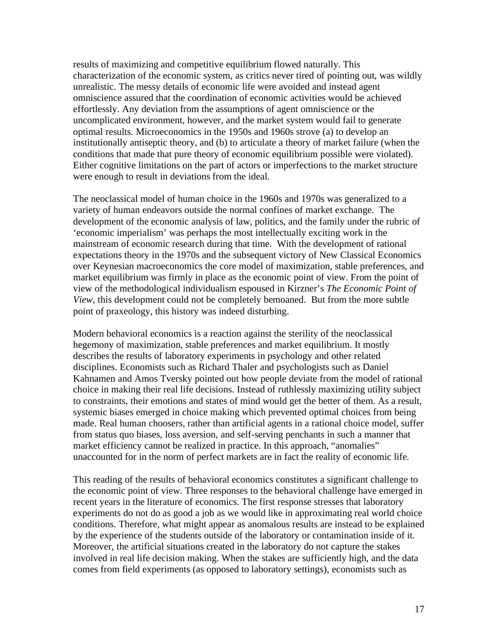results of maximizing and competitive equilibrium flowed naturally. This characterization of the economic system, as critics never tired of pointing out, was wildly unrealistic. The messy details of economic life were avoided and instead agent omniscience assured that the coordination of economic activities would be achieved effortlessly. Any deviation from the assumptions of agent omniscience or the uncomplicated environment, however, and the market system would fail to generate optimal results. Microeconomics in the 1950s and 1960s strove (a) to develop an institutionally antiseptic theory, and (b) to articulate a theory of market failure (when the conditions that made that pure theory of economic equilibrium possible were violated). Either cognitive limitations on the part of actors or imperfections to the market structure were enough to result in deviations from the ideal.

The neoclassical model of human choice in the 1960s and 1970s was generalized to a variety of human endeavors outside the normal confines of market exchange. The development of the economic analysis of law, politics, and the family under the rubric of 'economic imperialism' was perhaps the most intellectually exciting work in the mainstream of economic research during that time. With the development of rational expectations theory in the 1970s and the subsequent victory of New Classical Economics over Keynesian macroeconomics the core model of maximization, stable preferences, and market equilibrium was firmly in place as the economic point of view. From the point of view of the methodological individualism espoused in Kirzner's *The Economic Point of View*, this development could not be completely bemoaned. But from the more subtle point of praxeology, this history was indeed disturbing.

Modern behavioral economics is a reaction against the sterility of the neoclassical hegemony of maximization, stable preferences and market equilibrium. It mostly describes the results of laboratory experiments in psychology and other related disciplines. Economists such as Richard Thaler and psychologists such as Daniel Kahnamen and Amos Tversky pointed out how people deviate from the model of rational choice in making their real life decisions. Instead of ruthlessly maximizing utility subject to constraints, their emotions and states of mind would get the better of them. As a result, systemic biases emerged in choice making which prevented optimal choices from being made. Real human choosers, rather than artificial agents in a rational choice model, suffer from status quo biases, loss aversion, and self-serving penchants in such a manner that market efficiency cannot be realized in practice. In this approach, "anomalies" unaccounted for in the norm of perfect markets are in fact the reality of economic life.

This reading of the results of behavioral economics constitutes a significant challenge to the economic point of view. Three responses to the behavioral challenge have emerged in recent years in the literature of economics. The first response stresses that laboratory experiments do not do as good a job as we would like in approximating real world choice conditions. Therefore, what might appear as anomalous results are instead to be explained by the experience of the students outside of the laboratory or contamination inside of it. Moreover, the artificial situations created in the laboratory do not capture the stakes involved in real life decision making. When the stakes are sufficiently high, and the data comes from field experiments (as opposed to laboratory settings), economists such as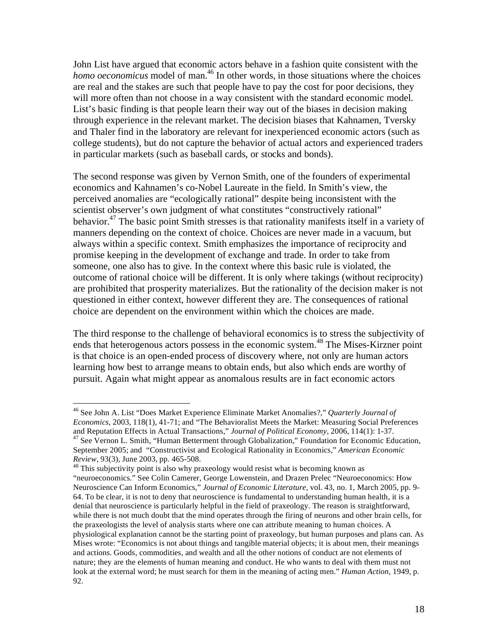John List have argued that economic actors behave in a fashion quite consistent with the *homo oeconomicus* model of man.<sup>46</sup> In other words, in those situations where the choices are real and the stakes are such that people have to pay the cost for poor decisions, they will more often than not choose in a way consistent with the standard economic model. List's basic finding is that people learn their way out of the biases in decision making through experience in the relevant market. The decision biases that Kahnamen, Tversky and Thaler find in the laboratory are relevant for inexperienced economic actors (such as college students), but do not capture the behavior of actual actors and experienced traders in particular markets (such as baseball cards, or stocks and bonds).

The second response was given by Vernon Smith, one of the founders of experimental economics and Kahnamen's co-Nobel Laureate in the field. In Smith's view, the perceived anomalies are "ecologically rational" despite being inconsistent with the scientist observer's own judgment of what constitutes "constructively rational" behavior.<sup>47</sup> The basic point Smith stresses is that rationality manifests itself in a variety of manners depending on the context of choice. Choices are never made in a vacuum, but always within a specific context. Smith emphasizes the importance of reciprocity and promise keeping in the development of exchange and trade. In order to take from someone, one also has to give. In the context where this basic rule is violated, the outcome of rational choice will be different. It is only where takings (without reciprocity) are prohibited that prosperity materializes. But the rationality of the decision maker is not questioned in either context, however different they are. The consequences of rational choice are dependent on the environment within which the choices are made.

The third response to the challenge of behavioral economics is to stress the subjectivity of ends that heterogenous actors possess in the economic system.<sup>48</sup> The Mises-Kirzner point is that choice is an open-ended process of discovery where, not only are human actors learning how best to arrange means to obtain ends, but also which ends are worthy of pursuit. Again what might appear as anomalous results are in fact economic actors

<sup>46</sup> See John A. List "Does Market Experience Eliminate Market Anomalies?," *Quarterly Journal of Economics*, 2003, 118(1), 41-71; and "The Behavioralist Meets the Market: Measuring Social Preferences and Reputation Effects in Actual Transactions," *Journal of Political Economy*, 2006, 114(1): 1-37. <sup>47</sup> See Vernon L. Smith, "Human Betterment through Globalization," *Foundation* for Economic Education, September 2005; and "Constructivist and Ecological Rationality in Economics," *American Economic Review*, 93(3), June 2003, pp. 465-508.<br><sup>48</sup> This subjectivity point is also why praxeology would resist what is becoming known as

<sup>&</sup>quot;neuroeconomics." See Colin Camerer, George Lowenstein, and Drazen Prelec "Neuroeconomics: How Neuroscience Can Inform Economics," *Journal of Economic Literature*, vol. 43, no. 1, March 2005, pp. 9- 64. To be clear, it is not to deny that neuroscience is fundamental to understanding human health, it is a denial that neuroscience is particularly helpful in the field of praxeology. The reason is straightforward, while there is not much doubt that the mind operates through the firing of neurons and other brain cells, for the praxeologists the level of analysis starts where one can attribute meaning to human choices. A physiological explanation cannot be the starting point of praxeology, but human purposes and plans can. As Mises wrote: "Economics is not about things and tangible material objects; it is about men, their meanings and actions. Goods, commodities, and wealth and all the other notions of conduct are not elements of nature; they are the elements of human meaning and conduct. He who wants to deal with them must not look at the external word; he must search for them in the meaning of acting men." *Human Action*, 1949, p. 92.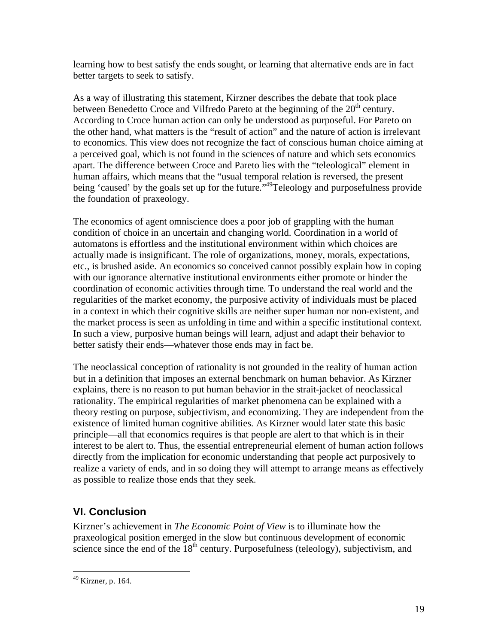learning how to best satisfy the ends sought, or learning that alternative ends are in fact better targets to seek to satisfy.

As a way of illustrating this statement, Kirzner describes the debate that took place between Benedetto Croce and Vilfredo Pareto at the beginning of the  $20<sup>th</sup>$  century. According to Croce human action can only be understood as purposeful. For Pareto on the other hand, what matters is the "result of action" and the nature of action is irrelevant to economics. This view does not recognize the fact of conscious human choice aiming at a perceived goal, which is not found in the sciences of nature and which sets economics apart. The difference between Croce and Pareto lies with the "teleological" element in human affairs, which means that the "usual temporal relation is reversed, the present being 'caused' by the goals set up for the future."<sup>49</sup>Teleology and purposefulness provide the foundation of praxeology.

The economics of agent omniscience does a poor job of grappling with the human condition of choice in an uncertain and changing world. Coordination in a world of automatons is effortless and the institutional environment within which choices are actually made is insignificant. The role of organizations, money, morals, expectations, etc., is brushed aside. An economics so conceived cannot possibly explain how in coping with our ignorance alternative institutional environments either promote or hinder the coordination of economic activities through time. To understand the real world and the regularities of the market economy, the purposive activity of individuals must be placed in a context in which their cognitive skills are neither super human nor non-existent, and the market process is seen as unfolding in time and within a specific institutional context. In such a view, purposive human beings will learn, adjust and adapt their behavior to better satisfy their ends—whatever those ends may in fact be.

The neoclassical conception of rationality is not grounded in the reality of human action but in a definition that imposes an external benchmark on human behavior. As Kirzner explains, there is no reason to put human behavior in the strait-jacket of neoclassical rationality. The empirical regularities of market phenomena can be explained with a theory resting on purpose, subjectivism, and economizing. They are independent from the existence of limited human cognitive abilities. As Kirzner would later state this basic principle—all that economics requires is that people are alert to that which is in their interest to be alert to. Thus, the essential entrepreneurial element of human action follows directly from the implication for economic understanding that people act purposively to realize a variety of ends, and in so doing they will attempt to arrange means as effectively as possible to realize those ends that they seek.

# **VI. Conclusion**

Kirzner's achievement in *The Economic Point of View* is to illuminate how the praxeological position emerged in the slow but continuous development of economic science since the end of the  $18<sup>th</sup>$  century. Purposefulness (teleology), subjectivism, and

<sup>49</sup> Kirzner, p. 164.